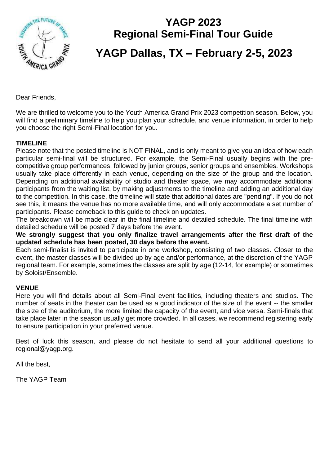

# **YAGP 2023 Regional Semi-Final Tour Guide YAGP Dallas, TX – February 2-5, 2023**

Dear Friends,

We are thrilled to welcome you to the Youth America Grand Prix 2023 competition season. Below, you will find a preliminary timeline to help you plan your schedule, and venue information, in order to help you choose the right Semi-Final location for you.

#### **TIMELINE**

Please note that the posted timeline is NOT FINAL, and is only meant to give you an idea of how each particular semi-final will be structured. For example, the Semi-Final usually begins with the precompetitive group performances, followed by junior groups, senior groups and ensembles. Workshops usually take place differently in each venue, depending on the size of the group and the location. Depending on additional availability of studio and theater space, we may accommodate additional participants from the waiting list, by making adjustments to the timeline and adding an additional day to the competition. In this case, the timeline will state that additional dates are "pending". If you do not see this, it means the venue has no more available time, and will only accommodate a set number of participants. Please comeback to this guide to check on updates.

The breakdown will be made clear in the final timeline and detailed schedule. The final timeline with detailed schedule will be posted 7 days before the event.

**We strongly suggest that you only finalize travel arrangements after the first draft of the updated schedule has been posted, 30 days before the event.** 

Each semi-finalist is invited to participate in one workshop, consisting of two classes. Closer to the event, the master classes will be divided up by age and/or performance, at the discretion of the YAGP regional team. For example, sometimes the classes are split by age (12-14, for example) or sometimes by Soloist/Ensemble.

#### **VENUE**

Here you will find details about all Semi-Final event facilities, including theaters and studios. The number of seats in the theater can be used as a good indicator of the size of the event -- the smaller the size of the auditorium, the more limited the capacity of the event, and vice versa. Semi-finals that take place later in the season usually get more crowded. In all cases, we recommend registering early to ensure participation in your preferred venue.

Best of luck this season, and please do not hesitate to send all your additional questions to regional@yagp.org.

All the best,

The YAGP Team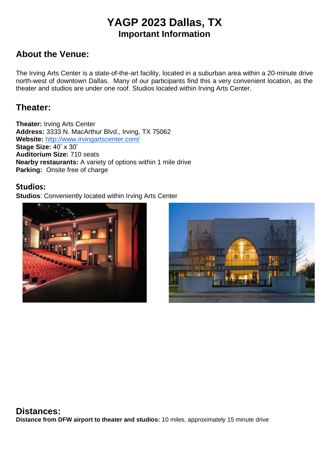# **YAGP 2023 Dallas, TX Important Information**

# **About the Venue:**

The Irving Arts Center is a state-of-the-art facility, located in a suburban area within a 20-minute drive north-west of downtown Dallas. Many of our participants find this a very convenient location, as the theater and studios are under one roof. Studios located within Irving Arts Center.

# **Theater:**

**Theater:** Irving Arts Center **Address:** 3333 N. MacArthur Blvd., Irving, TX 75062 **Website:** <http://www.irvingartscenter.com/> **Stage Size:** 40' x 30' **Auditorium Size:** 710 seats **Nearby restaurants:** A variety of options within 1 mile drive **Parking:** Onsite free of charge

#### **Studios:**

**Studios**: Conveniently located within Irving Arts Center